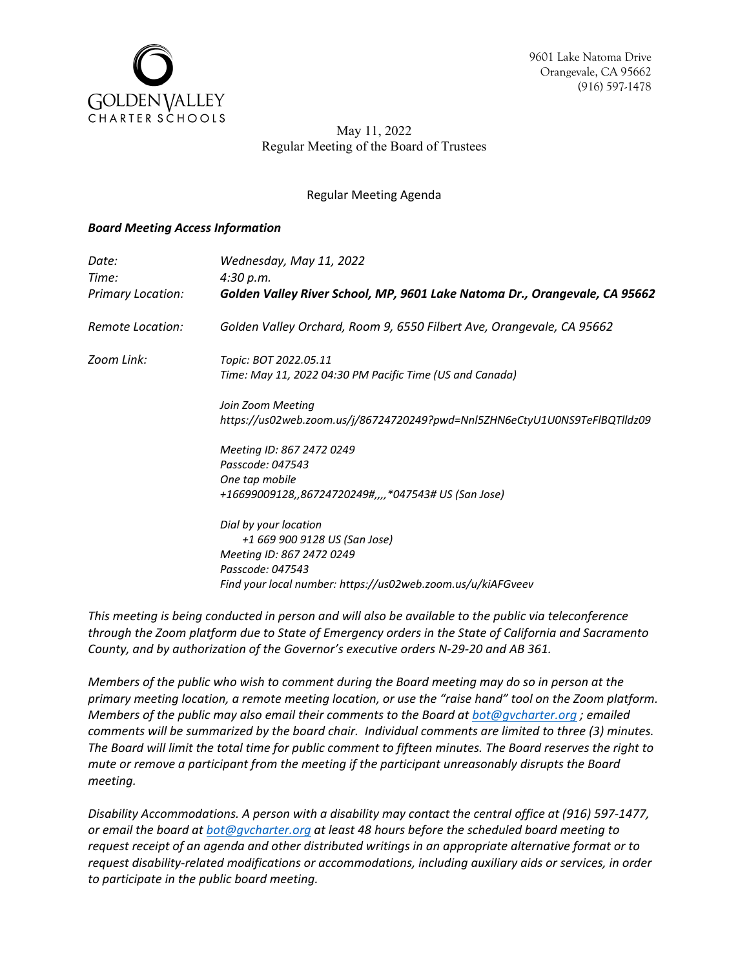

9601 Lake Natoma Drive Orangevale, CA 95662 (916) 597-1478

May 11, 2022 Regular Meeting of the Board of Trustees

## Regular Meeting Agenda

## *Board Meeting Access Information*

| Date:<br>Time:<br><b>Primary Location:</b> | Wednesday, May 11, 2022<br>4:30 p.m.<br>Golden Valley River School, MP, 9601 Lake Natoma Dr., Orangevale, CA 95662                                                     |
|--------------------------------------------|------------------------------------------------------------------------------------------------------------------------------------------------------------------------|
| Remote Location:                           | Golden Valley Orchard, Room 9, 6550 Filbert Ave, Orangevale, CA 95662                                                                                                  |
| Zoom Link:                                 | Topic: BOT 2022.05.11<br>Time: May 11, 2022 04:30 PM Pacific Time (US and Canada)                                                                                      |
|                                            | Join Zoom Meeting<br>https://us02web.zoom.us/j/86724720249?pwd=NnI5ZHN6eCtyU1U0NS9TeFIBQTlldz09                                                                        |
|                                            | Meeting ID: 867 2472 0249<br>Passcode: 047543<br>One tap mobile<br>+16699009128,,86724720249#,,,,*047543# US (San Jose)                                                |
|                                            | Dial by your location<br>+1 669 900 9128 US (San Jose)<br>Meeting ID: 867 2472 0249<br>Passcode: 047543<br>Find your local number: https://us02web.zoom.us/u/kiAFGveev |

*This meeting is being conducted in person and will also be available to the public via teleconference through the Zoom platform due to State of Emergency orders in the State of California and Sacramento County, and by authorization of the Governor's executive orders N-29-20 and AB 361.* 

*Members of the public who wish to comment during the Board meeting may do so in person at the primary meeting location, a remote meeting location, or use the "raise hand" tool on the Zoom platform. Members of the public may also email their comments to the Board at [bot@gvcharter.org](mailto:bot@gvcharter.org) ; emailed comments will be summarized by the board chair. Individual comments are limited to three (3) minutes. The Board will limit the total time for public comment to fifteen minutes. The Board reserves the right to mute or remove a participant from the meeting if the participant unreasonably disrupts the Board meeting.* 

*Disability Accommodations. A person with a disability may contact the central office at (916) 597-1477, or email the board at [bot@gvcharter.org](mailto:bot@gvcharter.org) at least 48 hours before the scheduled board meeting to request receipt of an agenda and other distributed writings in an appropriate alternative format or to request disability-related modifications or accommodations, including auxiliary aids or services, in order to participate in the public board meeting.*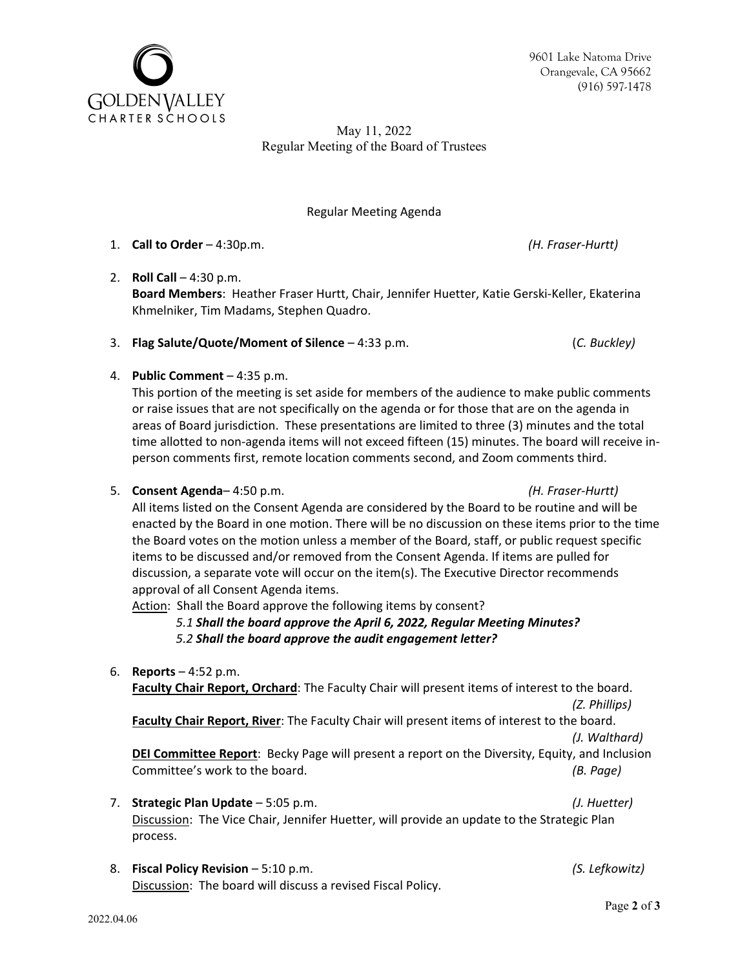9601 Lake Natoma Drive Orangevale, CA 95662 (916) 597-1478



May 11, 2022 Regular Meeting of the Board of Trustees

Regular Meeting Agenda

## 1. **Call to Order** – 4:30p.m.*(H. Fraser-Hurtt)*

2. **Roll Call** – 4:30 p.m.

**Board Members**: Heather Fraser Hurtt, Chair, Jennifer Huetter, Katie Gerski-Keller, Ekaterina Khmelniker, Tim Madams, Stephen Quadro.

- 3. **Flag Salute/Quote/Moment of Silence** 4:33 p.m. (*C. Buckley)*
- 4. **Public Comment** 4:35 p.m.

This portion of the meeting is set aside for members of the audience to make public comments or raise issues that are not specifically on the agenda or for those that are on the agenda in areas of Board jurisdiction. These presentations are limited to three (3) minutes and the total time allotted to non-agenda items will not exceed fifteen (15) minutes. The board will receive inperson comments first, remote location comments second, and Zoom comments third.

5. **Consent Agenda**– 4:50 p.m.*(H. Fraser-Hurtt)*

All items listed on the Consent Agenda are considered by the Board to be routine and will be enacted by the Board in one motion. There will be no discussion on these items prior to the time the Board votes on the motion unless a member of the Board, staff, or public request specific items to be discussed and/or removed from the Consent Agenda. If items are pulled for discussion, a separate vote will occur on the item(s). The Executive Director recommends approval of all Consent Agenda items.

Action: Shall the Board approve the following items by consent?

- *5.1 Shall the board approve the April 6, 2022, Regular Meeting Minutes?*
- *5.2 Shall the board approve the audit engagement letter?*
- 6. **Reports**  4:52 p.m. **Faculty Chair Report, Orchard**: The Faculty Chair will present items of interest to the board. *(Z. Phillips)* **Faculty Chair Report, River**: The Faculty Chair will present items of interest to the board. *(J. Walthard)* **DEI Committee Report**: Becky Page will present a report on the Diversity, Equity, and Inclusion Committee's work to the board. *(B. Page)*  7. **Strategic Plan Update** – 5:05 p.m. *(J. Huetter)* Discussion: The Vice Chair, Jennifer Huetter, will provide an update to the Strategic Plan
	- 8. **Fiscal Policy Revision**  5:10 p.m. *(S. Lefkowitz)*  Discussion: The board will discuss a revised Fiscal Policy.

Page **2** of **3**

process.